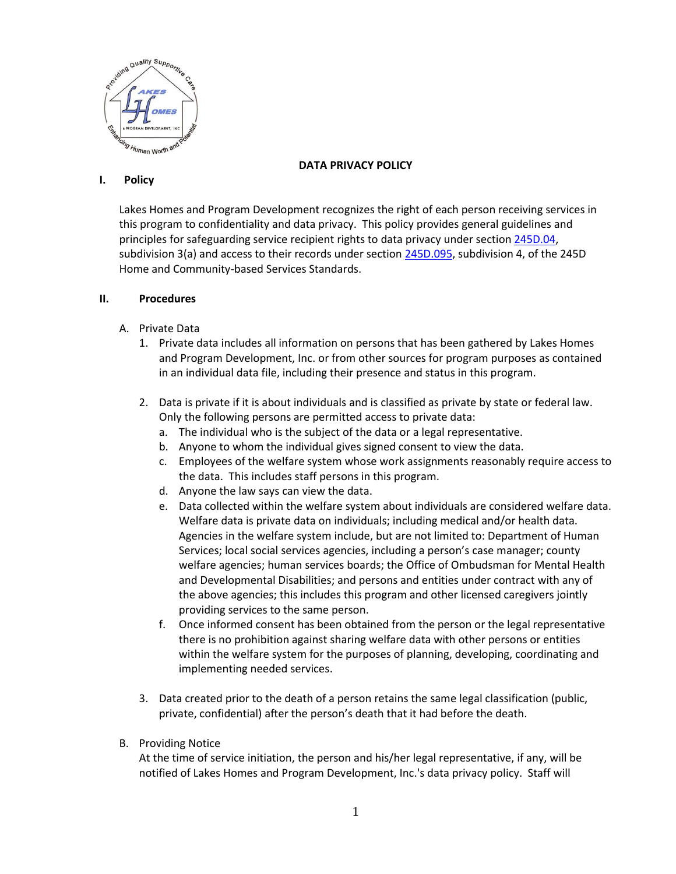

## **DATA PRIVACY POLICY**

## **I. Policy**

Lakes Homes and Program Development recognizes the right of each person receiving services in this program to confidentiality and data privacy. This policy provides general guidelines and principles for safeguarding service recipient rights to data privacy under section [245D.04,](https://www.revisor.mn.gov/statutes/?id=245D.04) subdivision 3(a) and access to their records under section [245D.095,](https://www.revisor.mn.gov/statutes/?id=245D.095) subdivision 4, of the 245D Home and Community-based Services Standards.

## **II. Procedures**

- A. Private Data
	- 1. Private data includes all information on persons that has been gathered by Lakes Homes and Program Development, Inc. or from other sources for program purposes as contained in an individual data file, including their presence and status in this program.
	- 2. Data is private if it is about individuals and is classified as private by state or federal law. Only the following persons are permitted access to private data:
		- a. The individual who is the subject of the data or a legal representative.
		- b. Anyone to whom the individual gives signed consent to view the data.
		- c. Employees of the welfare system whose work assignments reasonably require access to the data. This includes staff persons in this program.
		- d. Anyone the law says can view the data.
		- e. Data collected within the welfare system about individuals are considered welfare data. Welfare data is private data on individuals; including medical and/or health data. Agencies in the welfare system include, but are not limited to: Department of Human Services; local social services agencies, including a person's case manager; county welfare agencies; human services boards; the Office of Ombudsman for Mental Health and Developmental Disabilities; and persons and entities under contract with any of the above agencies; this includes this program and other licensed caregivers jointly providing services to the same person.
		- f. Once informed consent has been obtained from the person or the legal representative there is no prohibition against sharing welfare data with other persons or entities within the welfare system for the purposes of planning, developing, coordinating and implementing needed services.
	- 3. Data created prior to the death of a person retains the same legal classification (public, private, confidential) after the person's death that it had before the death.
- B. Providing Notice

At the time of service initiation, the person and his/her legal representative, if any, will be notified of Lakes Homes and Program Development, Inc.'s data privacy policy. Staff will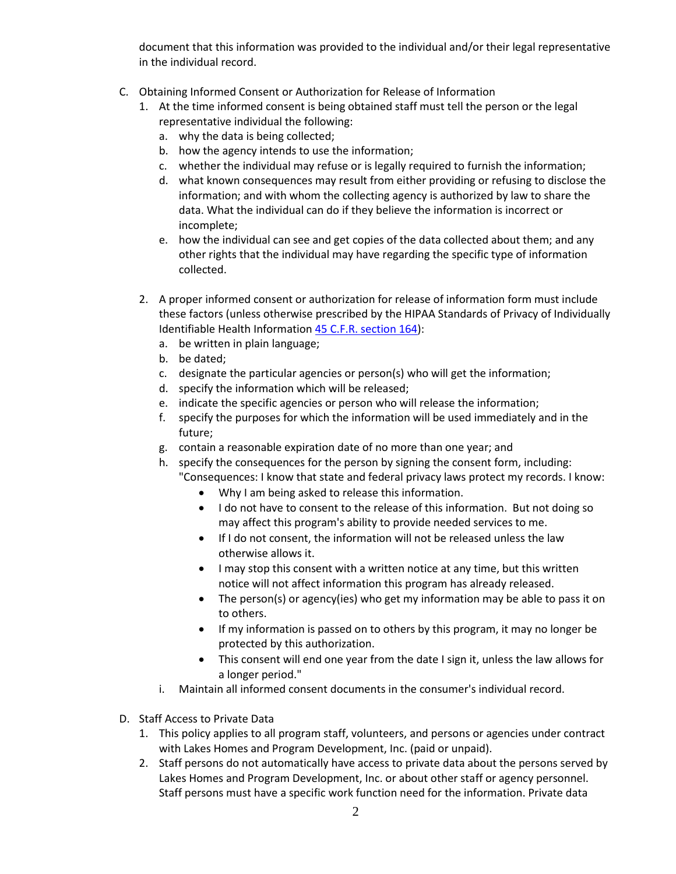document that this information was provided to the individual and/or their legal representative in the individual record.

- C. Obtaining Informed Consent or Authorization for Release of Information
	- 1. At the time informed consent is being obtained staff must tell the person or the legal representative individual the following:
		- a. why the data is being collected;
		- b. how the agency intends to use the information;
		- c. whether the individual may refuse or is legally required to furnish the information;
		- d. what known consequences may result from either providing or refusing to disclose the information; and with whom the collecting agency is authorized by law to share the data. What the individual can do if they believe the information is incorrect or incomplete;
		- e. how the individual can see and get copies of the data collected about them; and any other rights that the individual may have regarding the specific type of information collected.
	- 2. A proper informed consent or authorization for release of information form must include these factors (unless otherwise prescribed by the HIPAA Standards of Privacy of Individually Identifiable Health Information [45 C.F.R. section 164\)](http://www.access.gpo.gov/nara/cfr/waisidx_01/45cfr164_01.html):
		- a. be written in plain language;
		- b. be dated;
		- c. designate the particular agencies or person(s) who will get the information;
		- d. specify the information which will be released;
		- e. indicate the specific agencies or person who will release the information;
		- f. specify the purposes for which the information will be used immediately and in the future;
		- g. contain a reasonable expiration date of no more than one year; and
		- h. specify the consequences for the person by signing the consent form, including: "Consequences: I know that state and federal privacy laws protect my records. I know:
			- Why I am being asked to release this information.
			- I do not have to consent to the release of this information. But not doing so may affect this program's ability to provide needed services to me.
			- If I do not consent, the information will not be released unless the law otherwise allows it.
			- I may stop this consent with a written notice at any time, but this written notice will not affect information this program has already released.
			- The person(s) or agency(ies) who get my information may be able to pass it on to others.
			- If my information is passed on to others by this program, it may no longer be protected by this authorization.
			- This consent will end one year from the date I sign it, unless the law allows for a longer period."
		- i. Maintain all informed consent documents in the consumer's individual record.
- D. Staff Access to Private Data
	- 1. This policy applies to all program staff, volunteers, and persons or agencies under contract with Lakes Homes and Program Development, Inc. (paid or unpaid).
	- 2. Staff persons do not automatically have access to private data about the persons served by Lakes Homes and Program Development, Inc. or about other staff or agency personnel. Staff persons must have a specific work function need for the information. Private data